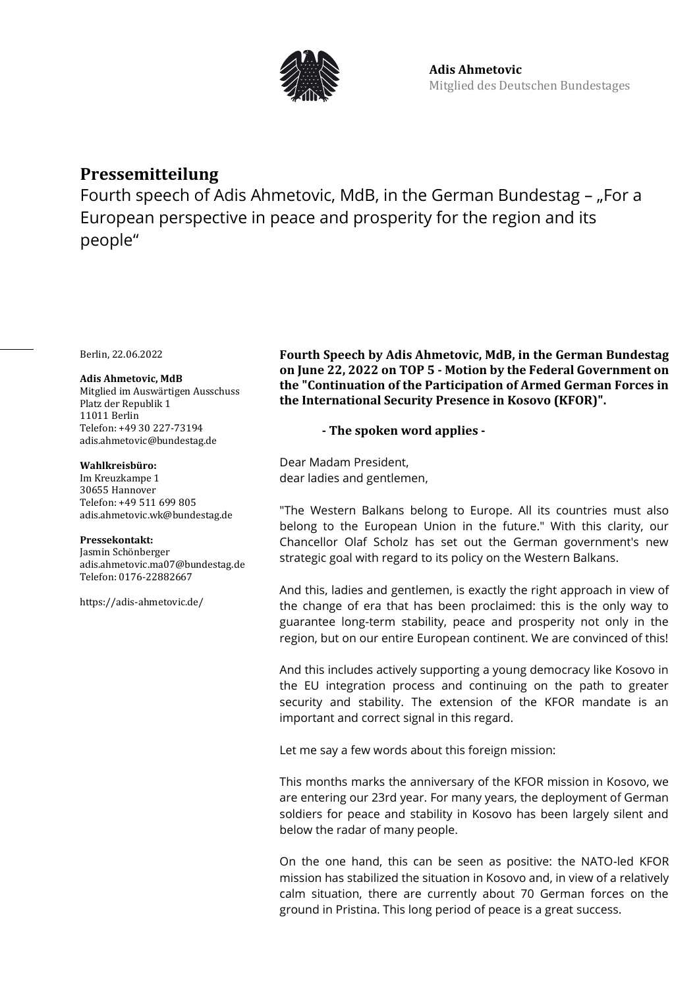

# **Pressemitteilung**

Fourth speech of Adis Ahmetovic, MdB, in the German Bundestag - "For a European perspective in peace and prosperity for the region and its people"

Berlin, 22.06.2022

### **Adis Ahmetovic, MdB**

Mitglied im Auswärtigen Ausschuss Platz der Republik 1 11011 Berlin Telefon: +49 30 227-73194 adis.ahmetovic@bundestag.de

### **Wahlkreisbüro:**

Im Kreuzkampe 1 30655 Hannover Telefon: +49 511 699 805 [adis.ahmetovic.wk@bundestag.de](mailto:adis.ahmetovic.wk@bundestag.de)

### **Pressekontakt:**

Jasmin Schönberger adis.ahmetovic.ma07@bundestag.de Telefon[: 0176-22882667](mailto:adis.ahmetovic.wk@bundestag.de)

<https://adis-ahmetovic.de/>

**Fourth Speech by Adis Ahmetovic, MdB, in the German Bundestag on June 22, 2022 on TOP 5 - Motion by the Federal Government on the "Continuation of the Participation of Armed German Forces in the International Security Presence in Kosovo (KFOR)".**

## **- The spoken word applies -**

Dear Madam President, dear ladies and gentlemen,

"The Western Balkans belong to Europe. All its countries must also belong to the European Union in the future." With this clarity, our Chancellor Olaf Scholz has set out the German government's new strategic goal with regard to its policy on the Western Balkans.

And this, ladies and gentlemen, is exactly the right approach in view of the change of era that has been proclaimed: this is the only way to guarantee long-term stability, peace and prosperity not only in the region, but on our entire European continent. We are convinced of this!

And this includes actively supporting a young democracy like Kosovo in the EU integration process and continuing on the path to greater security and stability. The extension of the KFOR mandate is an important and correct signal in this regard.

Let me say a few words about this foreign mission:

This months marks the anniversary of the KFOR mission in Kosovo, we are entering our 23rd year. For many years, the deployment of German soldiers for peace and stability in Kosovo has been largely silent and below the radar of many people.

On the one hand, this can be seen as positive: the NATO-led KFOR mission has stabilized the situation in Kosovo and, in view of a relatively calm situation, there are currently about 70 German forces on the ground in Pristina. This long period of peace is a great success.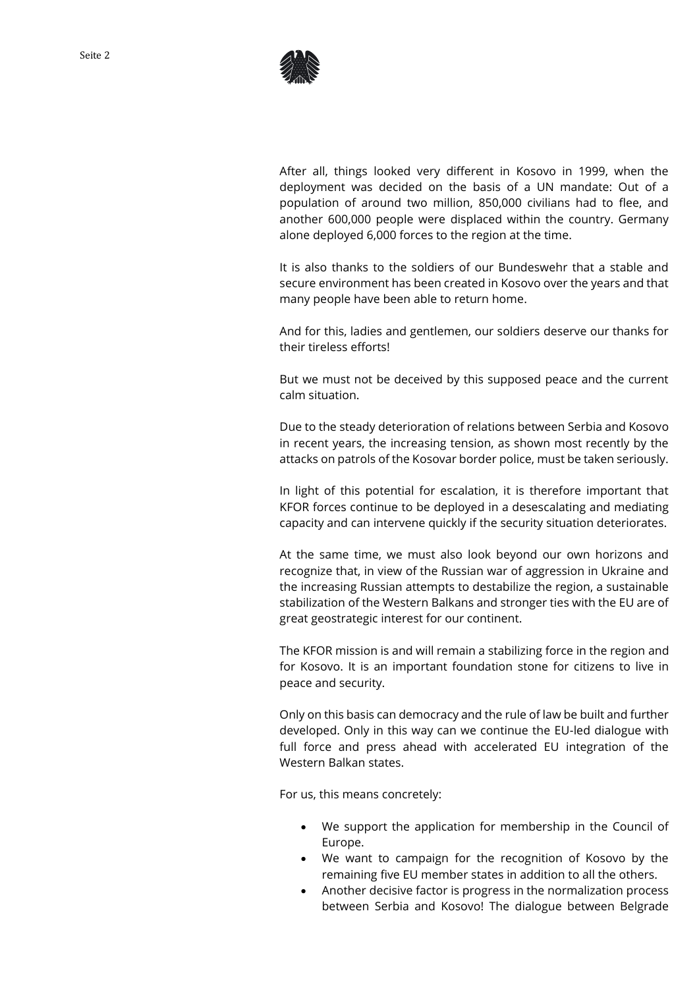

After all, things looked very different in Kosovo in 1999, when the deployment was decided on the basis of a UN mandate: Out of a population of around two million, 850,000 civilians had to flee, and another 600,000 people were displaced within the country. Germany alone deployed 6,000 forces to the region at the time.

It is also thanks to the soldiers of our Bundeswehr that a stable and secure environment has been created in Kosovo over the years and that many people have been able to return home.

And for this, ladies and gentlemen, our soldiers deserve our thanks for their tireless efforts!

But we must not be deceived by this supposed peace and the current calm situation.

Due to the steady deterioration of relations between Serbia and Kosovo in recent years, the increasing tension, as shown most recently by the attacks on patrols of the Kosovar border police, must be taken seriously.

In light of this potential for escalation, it is therefore important that KFOR forces continue to be deployed in a desescalating and mediating capacity and can intervene quickly if the security situation deteriorates.

At the same time, we must also look beyond our own horizons and recognize that, in view of the Russian war of aggression in Ukraine and the increasing Russian attempts to destabilize the region, a sustainable stabilization of the Western Balkans and stronger ties with the EU are of great geostrategic interest for our continent.

The KFOR mission is and will remain a stabilizing force in the region and for Kosovo. It is an important foundation stone for citizens to live in peace and security.

Only on this basis can democracy and the rule of law be built and further developed. Only in this way can we continue the EU-led dialogue with full force and press ahead with accelerated EU integration of the Western Balkan states.

For us, this means concretely:

- We support the application for membership in the Council of Europe.
- We want to campaign for the recognition of Kosovo by the remaining five EU member states in addition to all the others.
- Another decisive factor is progress in the normalization process between Serbia and Kosovo! The dialogue between Belgrade